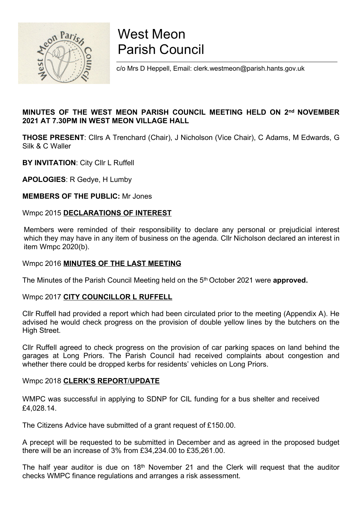

# West Meon Parish Council

c/o Mrs D Heppell, Email: clerk.westmeon@parish.hants.gov.uk

#### MINUTES OF THE WEST MEON PARISH COUNCIL MEETING HELD ON 2<sup>nd</sup> NOVEMBER 2021 AT 7.30PM IN WEST MEON VILLAGE HALL

THOSE PRESENT: Cllrs A Trenchard (Chair), J Nicholson (Vice Chair), C Adams, M Edwards, G Silk & C Waller

**BY INVITATION: City CIIr L Ruffell** 

APOLOGIES: R Gedye, H Lumby

MEMBERS OF THE PUBLIC: Mr Jones

#### Wmpc 2015 DECLARATIONS OF INTEREST

Members were reminded of their responsibility to declare any personal or prejudicial interest which they may have in any item of business on the agenda. Cllr Nicholson declared an interest in item Wmpc 2020(b).

#### Wmpc 2016 MINUTES OF THE LAST MEETING

The Minutes of the Parish Council Meeting held on the 5<sup>th</sup> October 2021 were approved.

#### Wmpc 2017 CITY COUNCILLOR L RUFFELL

Cllr Ruffell had provided a report which had been circulated prior to the meeting (Appendix A). He advised he would check progress on the provision of double yellow lines by the butchers on the High Street.

Cllr Ruffell agreed to check progress on the provision of car parking spaces on land behind the garages at Long Priors. The Parish Council had received complaints about congestion and whether there could be dropped kerbs for residents' vehicles on Long Priors.

#### Wmpc 2018 CLERK'S REPORT/UPDATE

WMPC was successful in applying to SDNP for CIL funding for a bus shelter and received £4,028.14.

The Citizens Advice have submitted of a grant request of £150.00.

A precept will be requested to be submitted in December and as agreed in the proposed budget there will be an increase of 3% from £34,234.00 to £35,261.00.

The half year auditor is due on  $18<sup>th</sup>$  November 21 and the Clerk will request that the auditor checks WMPC finance regulations and arranges a risk assessment.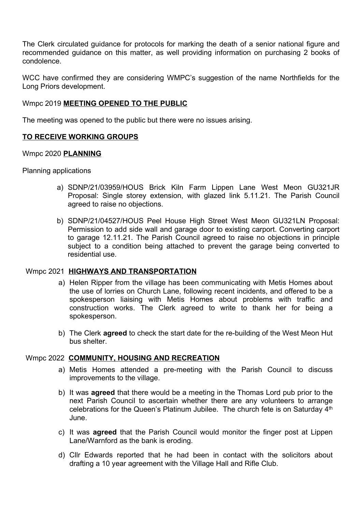The Clerk circulated guidance for protocols for marking the death of a senior national figure and recommended guidance on this matter, as well providing information on purchasing 2 books of condolence.

WCC have confirmed they are considering WMPC's suggestion of the name Northfields for the Long Priors development.

#### Wmpc 2019 MEETING OPENED TO THE PUBLIC

The meeting was opened to the public but there were no issues arising.

#### TO RECEIVE WORKING GROUPS

#### Wmpc 2020 PLANNING

Planning applications

- a) SDNP/21/03959/HOUS Brick Kiln Farm Lippen Lane West Meon GU321JR Proposal: Single storey extension, with glazed link 5.11.21. The Parish Council agreed to raise no objections.
- b) SDNP/21/04527/HOUS Peel House High Street West Meon GU321LN Proposal: Permission to add side wall and garage door to existing carport. Converting carport to garage 12.11.21. The Parish Council agreed to raise no objections in principle subject to a condition being attached to prevent the garage being converted to residential use.

#### Wmpc 2021 HIGHWAYS AND TRANSPORTATION

- a) Helen Ripper from the village has been communicating with Metis Homes about the use of lorries on Church Lane, following recent incidents, and offered to be a spokesperson liaising with Metis Homes about problems with traffic and construction works. The Clerk agreed to write to thank her for being a spokesperson.
- b) The Clerk **agreed** to check the start date for the re-building of the West Meon Hut bus shelter.

#### Wmpc 2022 COMMUNITY, HOUSING AND RECREATION

- a) Metis Homes attended a pre-meeting with the Parish Council to discuss improvements to the village.
- b) It was **agreed** that there would be a meeting in the Thomas Lord pub prior to the next Parish Council to ascertain whether there are any volunteers to arrange celebrations for the Queen's Platinum Jubilee. The church fete is on Saturday 4th June.
- c) It was agreed that the Parish Council would monitor the finger post at Lippen Lane/Warnford as the bank is eroding.
- d) Cllr Edwards reported that he had been in contact with the solicitors about drafting a 10 year agreement with the Village Hall and Rifle Club.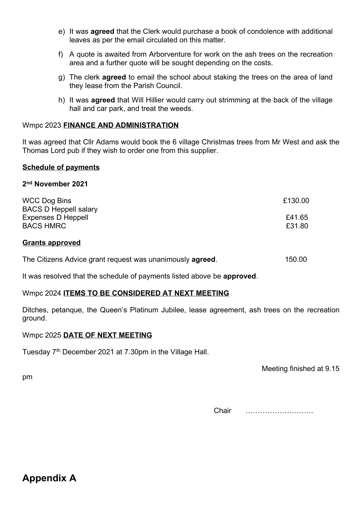- e) It was agreed that the Clerk would purchase a book of condolence with additional leaves as per the email circulated on this matter.
- f) A quote is awaited from Arborventure for work on the ash trees on the recreation area and a further quote will be sought depending on the costs.
- g) The clerk agreed to email the school about staking the trees on the area of land they lease from the Parish Council.
- h) It was agreed that Will Hillier would carry out strimming at the back of the village hall and car park, and treat the weeds.

#### Wmpc 2023 FINANCE AND ADMINISTRATION

It was agreed that Cllr Adams would book the 6 village Christmas trees from Mr West and ask the Thomas Lord pub if they wish to order one from this supplier.

#### Schedule of payments

#### 2 nd November 2021

| <b>WCC Dog Bins</b>          | £130.00 |
|------------------------------|---------|
| <b>BACS D Heppell salary</b> |         |
| <b>Expenses D Heppell</b>    | £41.65  |
| <b>BACS HMRC</b>             | £31.80  |
|                              |         |

#### Grants approved

|  | The Citizens Advice grant request was unanimously agreed. | 150.00 |
|--|-----------------------------------------------------------|--------|
|--|-----------------------------------------------------------|--------|

It was resolved that the schedule of payments listed above be approved.

#### Wmpc 2024 ITEMS TO BE CONSIDERED AT NEXT MEETING

Ditches, petanque, the Queen's Platinum Jubilee, lease agreement, ash trees on the recreation ground.

#### Wmpc 2025 DATE OF NEXT MEETING

Tuesday 7<sup>th</sup> December 2021 at 7.30pm in the Village Hall.

Meeting finished at 9.15

pm

Chair ……………………….

### Appendix A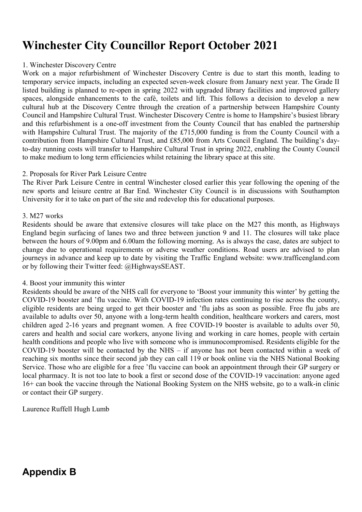## Winchester City Councillor Report October 2021

#### 1. Winchester Discovery Centre

Work on a major refurbishment of Winchester Discovery Centre is due to start this month, leading to temporary service impacts, including an expected seven-week closure from January next year. The Grade II listed building is planned to re-open in spring 2022 with upgraded library facilities and improved gallery spaces, alongside enhancements to the café, toilets and lift. This follows a decision to develop a new cultural hub at the Discovery Centre through the creation of a partnership between Hampshire County Council and Hampshire Cultural Trust. Winchester Discovery Centre is home to Hampshire's busiest library and this refurbishment is a one-off investment from the County Council that has enabled the partnership with Hampshire Cultural Trust. The majority of the £715,000 funding is from the County Council with a contribution from Hampshire Cultural Trust, and £85,000 from Arts Council England. The building's dayto-day running costs will transfer to Hampshire Cultural Trust in spring 2022, enabling the County Council to make medium to long term efficiencies whilst retaining the library space at this site.

#### 2. Proposals for River Park Leisure Centre

The River Park Leisure Centre in central Winchester closed earlier this year following the opening of the new sports and leisure centre at Bar End. Winchester City Council is in discussions with Southampton University for it to take on part of the site and redevelop this for educational purposes.

#### 3. M27 works

Residents should be aware that extensive closures will take place on the M27 this month, as Highways England begin surfacing of lanes two and three between junction 9 and 11. The closures will take place between the hours of 9.00pm and 6.00am the following morning. As is always the case, dates are subject to change due to operational requirements or adverse weather conditions. Road users are advised to plan journeys in advance and keep up to date by visiting the Traffic England website: www.trafficengland.com or by following their Twitter feed: @HighwaysSEAST.

#### 4. Boost your immunity this winter

Residents should be aware of the NHS call for everyone to 'Boost your immunity this winter' by getting the COVID-19 booster and 'flu vaccine. With COVID-19 infection rates continuing to rise across the county, eligible residents are being urged to get their booster and 'flu jabs as soon as possible. Free flu jabs are available to adults over 50, anyone with a long-term health condition, healthcare workers and carers, most children aged 2-16 years and pregnant women. A free COVID-19 booster is available to adults over 50, carers and health and social care workers, anyone living and working in care homes, people with certain health conditions and people who live with someone who is immunocompromised. Residents eligible for the COVID-19 booster will be contacted by the NHS – if anyone has not been contacted within a week of reaching six months since their second jab they can call 119 or book online via the NHS National Booking Service. Those who are eligible for a free 'flu vaccine can book an appointment through their GP surgery or local pharmacy. It is not too late to book a first or second dose of the COVID-19 vaccination: anyone aged 16+ can book the vaccine through the National Booking System on the NHS website, go to a walk-in clinic or contact their GP surgery.

Laurence Ruffell Hugh Lumb

## Appendix B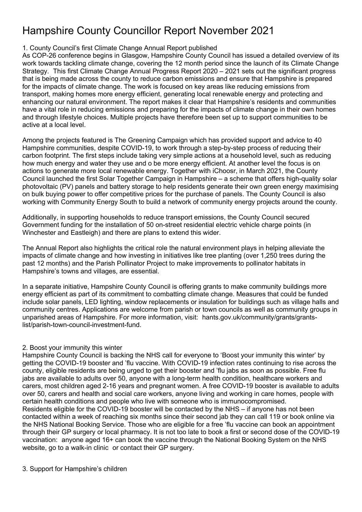## Hampshire County Councillor Report November 2021

#### 1. County Council's first Climate Change Annual Report published

As COP-26 conference begins in Glasgow, Hampshire County Council has issued a detailed overview of its work towards tackling climate change, covering the 12 month period since the launch of its Climate Change Strategy. This first Climate Change Annual Progress Report 2020 – 2021 sets out the significant progress that is being made across the county to reduce carbon emissions and ensure that Hampshire is prepared for the impacts of climate change. The work is focused on key areas like reducing emissions from transport, making homes more energy efficient, generating local renewable energy and protecting and enhancing our natural environment. The report makes it clear that Hampshire's residents and communities have a vital role in reducing emissions and preparing for the impacts of climate change in their own homes and through lifestyle choices. Multiple projects have therefore been set up to support communities to be active at a local level.

Among the projects featured is The Greening Campaign which has provided support and advice to 40 Hampshire communities, despite COVID-19, to work through a step-by-step process of reducing their carbon footprint. The first steps include taking very simple actions at a household level, such as reducing how much energy and water they use and o be more energy efficient. At another level the focus is on actions to generate more local renewable energy. Together with iChoosr, in March 2021, the County Council launched the first Solar Together Campaign in Hampshire – a scheme that offers high-quality solar photovoltaic (PV) panels and battery storage to help residents generate their own green energy maximising on bulk buying power to offer competitive prices for the purchase of panels. The County Council is also working with Community Energy South to build a network of community energy projects around the county.

Additionally, in supporting households to reduce transport emissions, the County Council secured Government funding for the installation of 50 on-street residential electric vehicle charge points (in Winchester and Eastleigh) and there are plans to extend this wider.

The Annual Report also highlights the critical role the natural environment plays in helping alleviate the impacts of climate change and how investing in initiatives like tree planting (over 1,250 trees during the past 12 months) and the Parish Pollinator Project to make improvements to pollinator habitats in Hampshire's towns and villages, are essential.

In a separate initiative, Hampshire County Council is offering grants to make community buildings more energy efficient as part of its commitment to combatting climate change. Measures that could be funded include solar panels, LED lighting, window replacements or insulation for buildings such as village halls and community centres. Applications are welcome from parish or town councils as well as community groups in unparished areas of Hampshire. For more information, visit: hants.gov.uk/community/grants/grantslist/parish-town-council-investment-fund.

#### 2. Boost your immunity this winter

Hampshire County Council is backing the NHS call for everyone to 'Boost your immunity this winter' by getting the COVID-19 booster and 'flu vaccine. With COVID-19 infection rates continuing to rise across the county, eligible residents are being urged to get their booster and 'flu jabs as soon as possible. Free flu jabs are available to adults over 50, anyone with a long-term health condition, healthcare workers and carers, most children aged 2-16 years and pregnant women. A free COVID-19 booster is available to adults over 50, carers and health and social care workers, anyone living and working in care homes, people with certain health conditions and people who live with someone who is immunocompromised. Residents eligible for the COVID-19 booster will be contacted by the NHS – if anyone has not been contacted within a week of reaching six months since their second jab they can call 119 or book online via the NHS National Booking Service. Those who are eligible for a free 'flu vaccine can book an appointment through their GP surgery or local pharmacy. It is not too late to book a first or second dose of the COVID-19 vaccination: anyone aged 16+ can book the vaccine through the National Booking System on the NHS website, go to a walk-in clinic or contact their GP surgery.

#### 3. Support for Hampshire's children